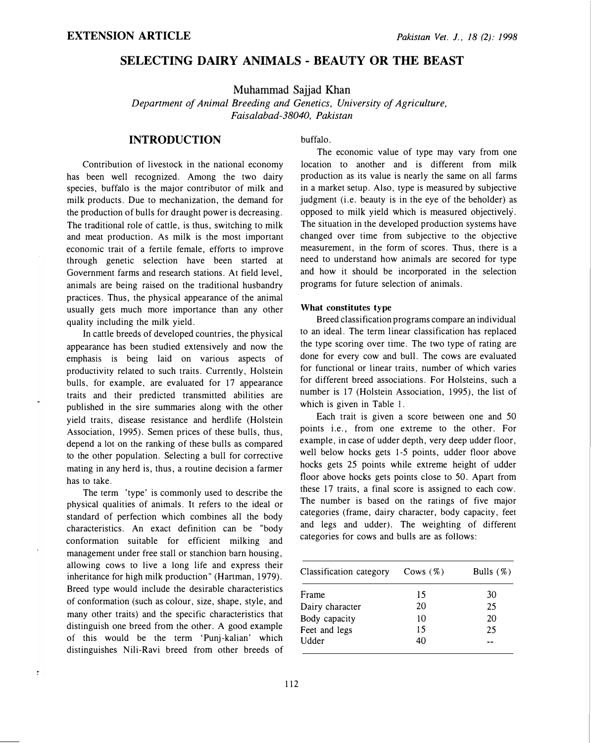# SELECTING DAIRY ANIMALS - BEAUTY OR THE BEAST

Muhammad Sajjad Khan

Department of Animal Breeding and Genetics, University of Agriculture, Faisalabad-38040, Pakistan

## INTRODUCTION

Contribution of livestock in the national economy has been well recognized. Among the two dairy species, buffalo is the major contributor of milk and milk products. Due to mechanization, the demand for the production of bulls for draught power is decreasing. The traditional role of cattle, is thus, switching to milk and meat production. As milk is the most important economic trait of a fertile female, efforts to improve through genetic selection have been started at Government farms and research stations. At field level, animals are being raised on the traditional husbandry practices. Thus, the physical appearance of the animal usually gets much more importance than any other quality including the milk yield.

In cattle breeds of developed countries, the physical appearance has been studied extensively and now the emphasis is being laid on various aspects of productivity related to such traits. Currently, Holstein bulls, for example, are evaluated for 17 appearance traits and their predicted transmitted abilities are published in the sire summaries along with the other yield traits, disease resistance and herdlife (Holstein Association, 1995). Semen prices of these bulls, thus, depend a lot on the ranking of these bulls as compared to the other population. Selecting a bull for corrective mating in any herd is, thus, a routine decision a farmer has to take.

The term 'type' is commonly used to describe the physical qualities of animals. It refers to the ideal or standard of perfection which combines all the body characteristics. An exact definition can be "body conformation suitable for efficient milking and management under free stall or stanchion barn housing, allowing cows to live a long life and express their inheritance for high milk production" (Hartman, 1979). Breed type would include the desirable characteristics of conformation (such as colour, size, shape, style, and many other traits) and the specific characteristics that distinguish one breed from the other. A good example of this would be the term 'Punj-kalian' which distinguishes Nili-Ravi breed from other breeds of

ŧ

buffalo.

The economic value of type may vary from one location to another and is different from milk production as its value is nearly the same on all farms in a market setup. Also, type is measured by subjective judgment (i.e. beauty is in the eye of the beholder) as opposed to milk yield which is measured objectively. The situation in the developed production systems have changed over time from subjective to the objective measurement, in the form of scores. Thus, there is a need to understand how animals are secored for type and how it should be incorporated in the selection programs for future selection of animals.

### What constitutes type

Breed classification programs compare an individual to an ideal. The term linear classification has replaced the type scoring over time. The two type of rating are done for every cow and bull. The cows are evaluated for functional or linear traits, number of which varies for different breed associations. For Holsteins, such a number is 17 (Holstein Association, 1995), the list of which is given in Table I.

Each trait is given a score between one and 50 points i.e., from one extreme to the other. For example, in case of udder depth, very deep udder floor, well below hocks gets 1-5 points, udder floor above hocks gets 25 points while extreme height of udder floor above hocks gets points close to 50. Apart from these 17 traits, a final score is assigned to each cow. The number is based on the ratings of five major categories (frame, dairy character, body capacity, feet and legs and udder). The weighting of different categories for cows and bulls are as follows:

| Classification category | Cows $(\%)$ | Bulls $(\%)$ |
|-------------------------|-------------|--------------|
| Frame                   | 15          | 30           |
| Dairy character         | 20          | 25           |
| Body capacity           | 10          | 20           |
| Feet and legs           | 15          | 25           |
| Udder                   | 40          |              |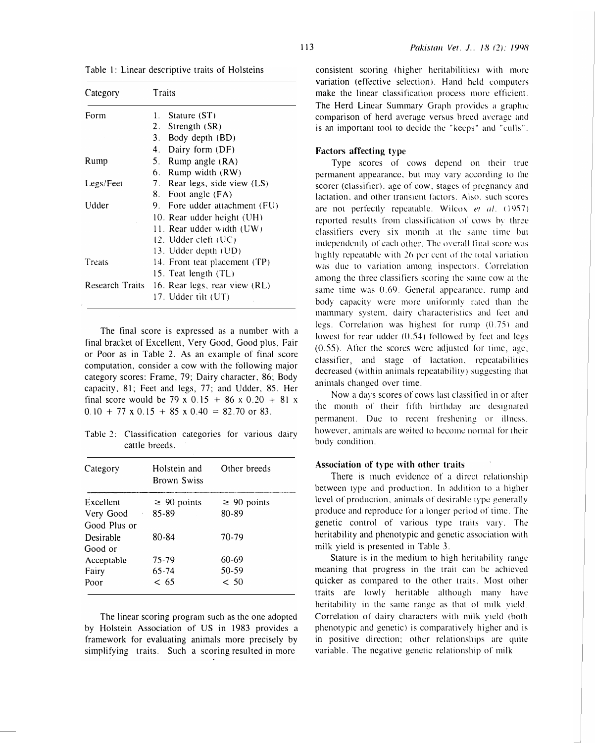| Category  | Traits                                        |  |  |
|-----------|-----------------------------------------------|--|--|
| Form      | 1. Stature $(ST)$                             |  |  |
|           | 2. Strength (SR)                              |  |  |
|           | 3. Body depth (BD)                            |  |  |
|           | 4. Dairy form (DF)                            |  |  |
| Rump      | 5. Rump angle (RA)                            |  |  |
|           | 6. Rump width (RW)                            |  |  |
| Legs/Feet | 7. Rear legs, side view (LS)                  |  |  |
|           | 8. Foot angle (FA)                            |  |  |
| Udder     | 9. Fore udder attachment (FU)                 |  |  |
|           | 10. Rear udder height (UH)                    |  |  |
|           | 11. Rear udder width (UW)                     |  |  |
|           | $12.$ Udder cleft $(UC)$                      |  |  |
|           | 13. Udder depth (UD)                          |  |  |
| Treats    | 14. Front teat placement (TP)                 |  |  |
|           | 15. Teat length (TL)                          |  |  |
|           | Research Traits 16. Rear legs, rear view (RL) |  |  |
|           | 17. Udder tilt (UT)                           |  |  |

Table l: Linear descriptive traits of Holsteins

The final score is expressed as a number with a final bracket of Excellent, Very Good, Good plus, Fair or Poor as in Table 2. As an example of final score computation, consider a cow with the following major category scores: Frame, 79; Dairy character, 86; Body capacity, 81; Feet and legs, 77; and Udder, 85. Her final score would be 79 x 0.15 + 86 x 0.20 + 81 x  $0.10 + 77 \times 0.15 + 85 \times 0.40 = 82.70$  or 83.

Table 2: Classification categories for various dairy cattle breeds.

| Category     | Other breeds<br>Holstein and<br><b>Brown Swiss</b> |                  |
|--------------|----------------------------------------------------|------------------|
| Excellent    | $\geq 90$ points                                   | $\geq 90$ points |
| Very Good    | 85-89                                              | 80-89            |
| Good Plus or |                                                    |                  |
| Desirable    | 80-84                                              | 70-79            |
| Good or      |                                                    |                  |
| Acceptable   | 75-79                                              | 60-69            |
| Fairy        | $65 - 74$                                          | 50-59            |
| Poor         | < 65                                               | < 50             |
|              |                                                    |                  |

The linear scoring program such as the one adopted by Holstein Association of US in 1983 provides a framework for evaluating animals more precisely by simplifying traits. Such a scoring resulted in more

consistent scoring (higher heritabilities) with more variation (effective selection). Hand held computers make the linear classification process more efficiem . The Herd Linear Summary Graph provides a graphic comparison of herd average versus breed average and is an important tool to decide the "keeps" and "culls".

## Factors affecting type

Type scores of cows depend on their true permanent appearance. but may vary according to the scorer (classifier), age of cow, stages of pregnancy and lactation, and other transient factors. Also. such scores are not perfectly repeatable. Wilcox et al. (1957) reported results from classification of cows by three classifiers every six month at the same time but independently of each other. The overall final score was highly repeatable with 26 per cent of the total variation was due to variation among inspectors. Correlation among the three classifiers scoring the same cow at the same time was 0.69. General appearance. rump and body capacity were more uniformly rated than the mammary system. dairy characteristics ami feet and legs. Correlation was highest for rump  $(0.75)$  and lowest for rear udder  $(0.54)$  followed by feet and legs  $(0.55)$ . After the scores were adjusted for time, age, classifier, and stage of lactation, repeatabilities decreased (within animals repeatability) suggesting that animals changed over time.

Now a days scores of cows last classified in or after the month of their fifth birthday are designated permanent. Due to recent freshening or illness. however, animals are waited to become normal for their body condition.

#### Association of type with other traits

There is much evidence of a direct relationship between type and production. In addition to a higher level of production, animals of desirable type generally produce and reproduce for a longer period of time . The genetic control of various type traits vary. The heritability and phenotypic and genetic association with milk yield is presented in Table 3.

Stature is in the medium to high heritability range meaning that progress in the trait can be achieved <sup>q</sup>uicker as compared to the other traits. Most othe<sup>r</sup> traits are lowly heritable although many have heritability in the same range as that of milk yield. Correlation of dairy characters with milk yield (both phenotypic and genetic) is comparatively higher and is in positive direction: other relationships are quite variable. The negative genetic relationship of milk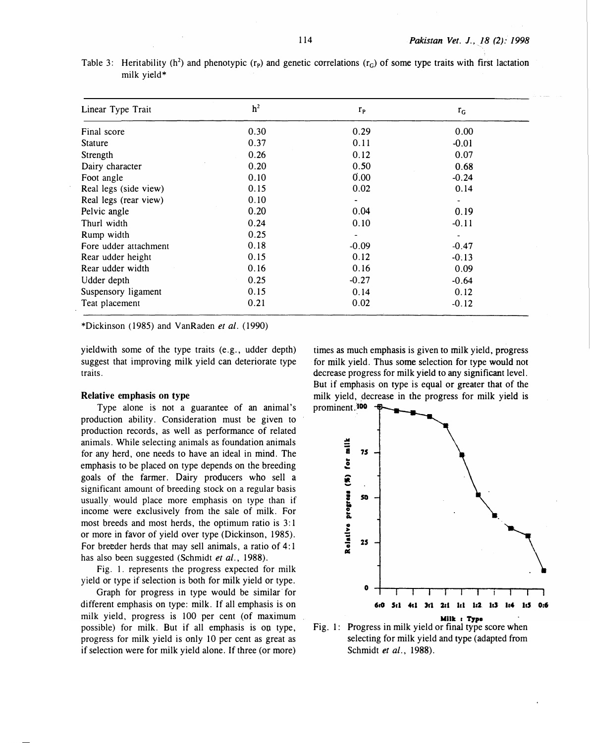| Linear Type Trait     | h <sup>2</sup> | $r_{\rm P}$ | $r_G$                    |  |
|-----------------------|----------------|-------------|--------------------------|--|
| Final score           | 0.30           | 0.29        | 0.00                     |  |
| Stature               | 0.37           | 0.11        | $-0.01$                  |  |
| Strength              | 0.26           | 0.12        | 0.07                     |  |
| Dairy character       | 0.20           | 0.50        | 0.68                     |  |
| Foot angle            | 0.10           | 0.00        | $-0.24$                  |  |
| Real legs (side view) | 0.15           | 0.02        | 0.14                     |  |
| Real legs (rear view) | 0.10           |             | $\overline{\phantom{a}}$ |  |
| Pelvic angle          | 0.20           | 0.04        | 0.19                     |  |
| Thurl width           | 0.24           | 0.10        | $-0.11$                  |  |
| Rump width            | 0.25           |             |                          |  |
| Fore udder attachment | 0.18           | $-0.09$     | $-0.47$                  |  |
| Rear udder height     | 0.15           | 0.12        | $-0.13$                  |  |
| Rear udder width      | 0.16           | 0.16        | 0.09                     |  |
| Udder depth           | 0.25           | $-0.27$     | $-0.64$                  |  |
| Suspensory ligament   | 0.15           | 0.14        | 0.12                     |  |
| Teat placement        | 0.21           | 0.02        | $-0.12$                  |  |

Table 3: Heritability (h<sup>2</sup>) and phenotypic ( $r_p$ ) and genetic correlations ( $r_q$ ) of some type traits with first lactation milk yield\*

\*Dickinson (1985) and VanRaden et al. (1990)

yield with some of the type traits (e.g., udder depth) suggest that improving milk yield can deteriorate type traits.

### Relative emphasis on type

Type alone is not a guarantee of an animal's production ability. Consideration must be given to production records, as well as performance of related animals. While selecting animals as foundation animals for any herd, one needs to have an ideal in mind. The emphasis to be placed on type depends on the breeding goals of the farmer. Dairy producers who sell a significant amount of breeding stock on a regular basis usually would place more emphasis on type than if income. were exclusively from the sale of milk. For most breeds and most herds, the optimum ratio is 3: 1 or more in favor of yield over type (Dickinson, 1985). For breeder herds that may sell animals, a ratio of 4:1 has also been suggested (Schmidt et al., 1988).

Fig. I. represents the progress expected for milk yield or type if selection is both for milk yield or type.

Graph for progress in type would be similar for different emphasis on type: milk. If all emphasis is on milk yield, progress is 100 per cent (of maximum possible) for milk. But if all emphasis is on type, progress for milk yield is only 10 per cent as great as if selection were for milk yield alone. If three (or more)

times as much emphasis is given to milk yield, progress for milk yield. Thus some selection for type would not decrease progress for milk yield to any significant level. But if emphasis on type is equal or greater that of the milk yield, decrease in the progress for milk yield is



Fig. 1: Progress in milk yield or final type score when selecting for milk yield and type (adapted from Schmidt et al., 1988).